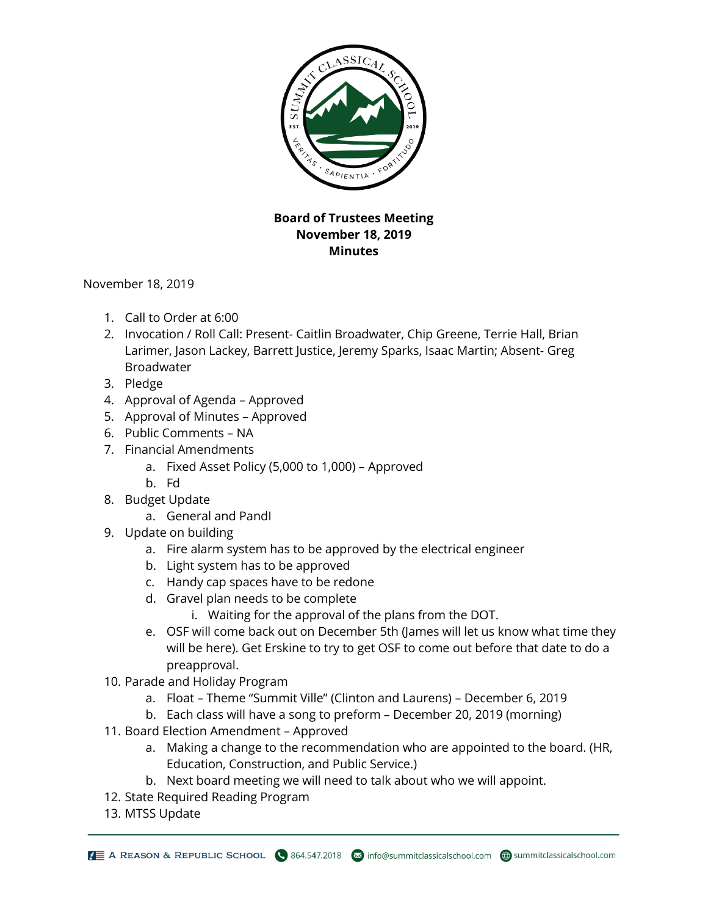

## **Board of Trustees Meeting November 18, 2019 Minutes**

November 18, 2019

- 1. Call to Order at 6:00
- 2. Invocation / Roll Call: Present- Caitlin Broadwater, Chip Greene, Terrie Hall, Brian Larimer, Jason Lackey, Barrett Justice, Jeremy Sparks, Isaac Martin; Absent- Greg Broadwater
- 3. Pledge
- 4. Approval of Agenda Approved
- 5. Approval of Minutes Approved
- 6. Public Comments NA
- 7. Financial Amendments
	- a. Fixed Asset Policy (5,000 to 1,000) Approved
	- b. Fd
- 8. Budget Update
	- a. General and PandI
- 9. Update on building
	- a. Fire alarm system has to be approved by the electrical engineer
	- b. Light system has to be approved
	- c. Handy cap spaces have to be redone
	- d. Gravel plan needs to be complete
		- i. Waiting for the approval of the plans from the DOT.
	- e. OSF will come back out on December 5th (James will let us know what time they will be here). Get Erskine to try to get OSF to come out before that date to do a preapproval.
- 10. Parade and Holiday Program
	- a. Float Theme "Summit Ville" (Clinton and Laurens) December 6, 2019
	- b. Each class will have a song to preform December 20, 2019 (morning)
- 11. Board Election Amendment Approved
	- a. Making a change to the recommendation who are appointed to the board. (HR, Education, Construction, and Public Service.)
	- b. Next board meeting we will need to talk about who we will appoint.
- 12. State Required Reading Program
- 13. MTSS Update